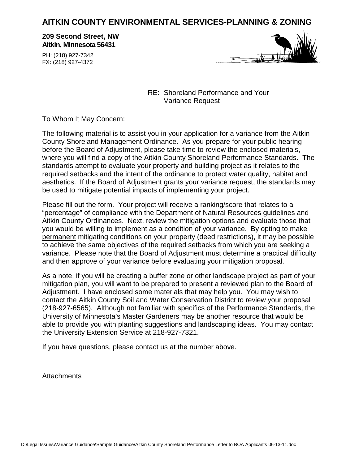# **AITKIN COUNTY ENVIRONMENTAL SERVICES-PLANNING & ZONING**

**209 Second Street, NW Aitkin, Minnesota 56431**

PH: (218) 927-7342 FX: (218) 927-4372



RE: Shoreland Performance and Your Variance Request

To Whom It May Concern:

The following material is to assist you in your application for a variance from the Aitkin County Shoreland Management Ordinance. As you prepare for your public hearing before the Board of Adjustment, please take time to review the enclosed materials, where you will find a copy of the Aitkin County Shoreland Performance Standards. The standards attempt to evaluate your property and building project as it relates to the required setbacks and the intent of the ordinance to protect water quality, habitat and aesthetics. If the Board of Adjustment grants your variance request, the standards may be used to mitigate potential impacts of implementing your project.

Please fill out the form. Your project will receive a ranking/score that relates to a "percentage" of compliance with the Department of Natural Resources guidelines and Aitkin County Ordinances. Next, review the mitigation options and evaluate those that you would be willing to implement as a condition of your variance. By opting to make permanent mitigating conditions on your property (deed restrictions), it may be possible to achieve the same objectives of the required setbacks from which you are seeking a variance. Please note that the Board of Adjustment must determine a practical difficulty and then approve of your variance before evaluating your mitigation proposal.

As a note, if you will be creating a buffer zone or other landscape project as part of your mitigation plan, you will want to be prepared to present a reviewed plan to the Board of Adjustment. I have enclosed some materials that may help you. You may wish to contact the Aitkin County Soil and Water Conservation District to review your proposal (218-927-6565). Although not familiar with specifics of the Performance Standards, the University of Minnesota's Master Gardeners may be another resource that would be able to provide you with planting suggestions and landscaping ideas. You may contact the University Extension Service at 218-927-7321.

If you have questions, please contact us at the number above.

**Attachments**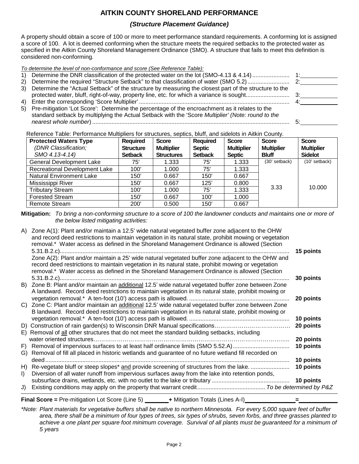### **AITKIN COUNTY SHORELAND PERFORMANCE**

#### *(Structure Placement Guidance)*

A property should obtain a score of 100 or more to meet performance standard requirements. A conforming lot is assigned a score of 100. A lot is deemed conforming when the structure meets the required setbacks to the protected water as specified in the Aitkin County Shoreland Management Ordinance (SMO). A structure that fails to meet this definition is considered non-conforming.

| To determine the level of non-conformance and score (See Reference Table): |  |
|----------------------------------------------------------------------------|--|
|                                                                            |  |

| 3) Determine the "Actual Setback" of the structure by measuring the closest part of the structure to the |  |
|----------------------------------------------------------------------------------------------------------|--|
|                                                                                                          |  |
|                                                                                                          |  |
| 5) Pre-mitigation 'Lot Score': Determine the percentage of the encroachment as it relates to the         |  |

standard setback by multiplying the Actual Setback with the 'Score *Multiplier' (Note: round to the nearest whole number*).......................................................................................................................... 5:

Reference Table: Performance Multipliers for structures, septics, bluff, and sidelots in Aitkin County.

| <b>Protected Waters Type</b>         | <b>Required</b>  | <b>Score</b>      | <b>Required</b> | <b>Score</b>      | <b>Score</b>      | <b>Score</b>      |
|--------------------------------------|------------------|-------------------|-----------------|-------------------|-------------------|-------------------|
| (DNR Classification;                 | <b>Structure</b> | <b>Multiplier</b> | <b>Septic</b>   | <b>Multiplier</b> | <b>Multiplier</b> | <b>Multiplier</b> |
| SMO 4.13-4.14)                       | <b>Setback</b>   | <b>Structures</b> | <b>Setback</b>  | <b>Septic</b>     | <b>Bluff</b>      | <b>Sidelot</b>    |
| <b>General Development Lake</b>      | 75'              | 1.333             | 75'             | 1.333             | (30' setback)     | (10' setback)     |
| <b>Recreational Development Lake</b> | 100'             | 1.000             | 75'             | 1.333             |                   |                   |
| <b>Natural Environment Lake</b>      | 150'             | 0.667             | 150'            | 0.667             |                   |                   |
| Mississippi River                    | 150'             | 0.667             | 125'            | 0.800             |                   |                   |
| <b>Tributary Stream</b>              | 100'             | 1.000             | 75'             | 1.333             | 3.33              | 10.000            |
| <b>Forested Stream</b>               | 150'             | 0.667             | 100'            | 1.000             |                   |                   |
| Remote Stream                        | 200'             | 0.500             | 150'            | 0.667             |                   |                   |

**Mitigation:** *To bring a non-conforming structure to a score of 100 the landowner conducts and maintains one or more of the below listed mitigating activities:*

| J)      |                                                                                                         |           |
|---------|---------------------------------------------------------------------------------------------------------|-----------|
|         |                                                                                                         | 10 points |
| $\vert$ | Diversion of all water runoff from impervious surfaces away from the lake into retention ponds,         |           |
| H)      | Re-vegetate bluff or steep slopes* and provide screening of structures from the lake.                   | 10 points |
|         |                                                                                                         | 10 points |
| G)      | Removal of fill all placed in historic wetlands and guarantee of no future wetland fill recorded on     |           |
| F)      | Removal of impervious surfaces to at least half ordinance limits (SMO 5.52.A)                           | 10 points |
|         |                                                                                                         | 20 points |
|         | E) Removal of all other structures that do not meet the standard building setbacks, including           |           |
|         |                                                                                                         | 20 points |
|         |                                                                                                         | 10 points |
|         | B landward. Record deed restrictions to maintain vegetation in its natural state, prohibit mowing or    |           |
|         | C) Zone C: Plant and/or maintain an additional 12.5' wide natural vegetated buffer zone between Zone    |           |
|         |                                                                                                         | 20 points |
|         | A landward. Record deed restrictions to maintain vegetation in its natural state, prohibit mowing or    |           |
|         | B) Zone B: Plant and/or maintain an additional 12.5' wide natural vegetated buffer zone between Zone    |           |
|         |                                                                                                         | 30 points |
|         | removal.* Water access as defined in the Shoreland Management Ordinance is allowed (Section             |           |
|         | record deed restrictions to maintain vegetation in its natural state, prohibit mowing or vegetation     |           |
|         | Zone A(2): Plant and/or maintain a 25' wide natural vegetated buffer zone adjacent to the OHW and       |           |
|         |                                                                                                         | 15 points |
|         | removal.* Water access as defined in the Shoreland Management Ordinance is allowed (Section             |           |
|         | and record deed restrictions to maintain vegetation in its natural state, prohibit mowing or vegetation |           |
| A)      | Zone A(1): Plant and/or maintain a 12.5' wide natural vegetated buffer zone adjacent to the OHW         |           |

**Final Score = Pre-mitigation Lot Score (Line 5) \_\_\_\_\_\_\_\_\_+ Mitigation Totals (Lines A-I) \_\_\_\_\_\_\_\_\_\_** 

*\*Note: Plant materials for vegetative buffers shall be native to northern Minnesota. For every 5,000 square feet of buffer area, there shall be a minimum of four types of trees, six types of shrubs, seven forbs, and three grasses planted to achieve a one plant per square foot minimum coverage. Survival of all plants must be guaranteed for a minimum of 5 years*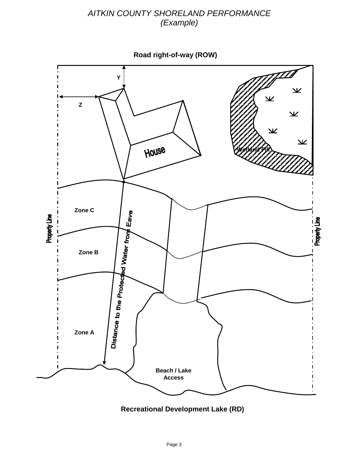# *AITKIN COUNTY SHORELAND PERFORMANCE (Example)*

**Road right-of-way (ROW)**



**Recreational Development Lake (RD)**